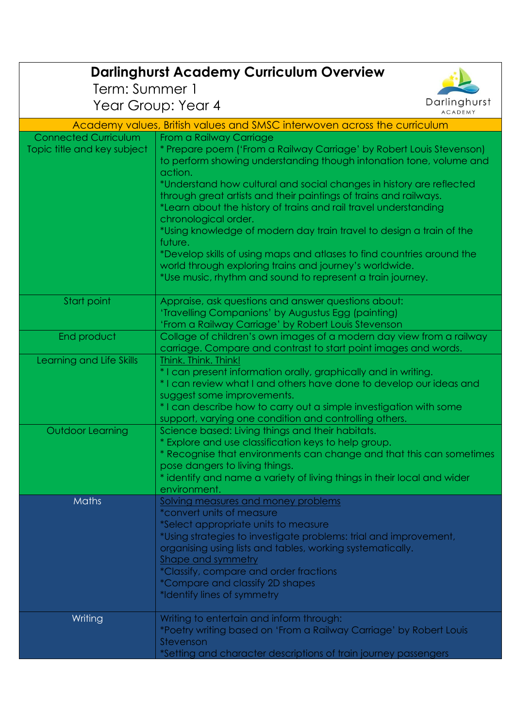| <b>Darlinghurst Academy Curriculum Overview</b>                          |                                                                                                                                       |                                |  |
|--------------------------------------------------------------------------|---------------------------------------------------------------------------------------------------------------------------------------|--------------------------------|--|
| Term: Summer 1                                                           |                                                                                                                                       |                                |  |
| Year Group: Year 4                                                       |                                                                                                                                       | Darlinghurst<br><b>ACADEMY</b> |  |
| Academy values, British values and SMSC interwoven across the curriculum |                                                                                                                                       |                                |  |
| <b>Connected Curriculum</b>                                              | From a Railway Carriage                                                                                                               |                                |  |
| Topic title and key subject                                              | * Prepare poem ('From a Railway Carriage' by Robert Louis Stevenson)                                                                  |                                |  |
|                                                                          | to perform showing understanding though intonation tone, volume and                                                                   |                                |  |
|                                                                          | action.                                                                                                                               |                                |  |
|                                                                          | *Understand how cultural and social changes in history are reflected                                                                  |                                |  |
|                                                                          | through great artists and their paintings of trains and railways.<br>*Learn about the history of trains and rail travel understanding |                                |  |
|                                                                          | chronological order.                                                                                                                  |                                |  |
|                                                                          | *Using knowledge of modern day train travel to design a train of the                                                                  |                                |  |
|                                                                          | future.                                                                                                                               |                                |  |
|                                                                          | *Develop skills of using maps and atlases to find countries around the                                                                |                                |  |
|                                                                          | world through exploring trains and journey's worldwide.                                                                               |                                |  |
|                                                                          | *Use music, rhythm and sound to represent a train journey.                                                                            |                                |  |
| Start point                                                              | Appraise, ask questions and answer questions about:                                                                                   |                                |  |
|                                                                          | 'Travelling Companions' by Augustus Egg (painting)                                                                                    |                                |  |
|                                                                          | 'From a Railway Carriage' by Robert Louis Stevenson                                                                                   |                                |  |
| End product                                                              | Collage of children's own images of a modern day view from a railway                                                                  |                                |  |
| Learning and Life Skills                                                 | carriage. Compare and contrast to start point images and words.<br>Think. Think. Think!                                               |                                |  |
|                                                                          | * I can present information orally, graphically and in writing.                                                                       |                                |  |
|                                                                          | * I can review what I and others have done to develop our ideas and                                                                   |                                |  |
|                                                                          | suggest some improvements.                                                                                                            |                                |  |
|                                                                          | * I can describe how to carry out a simple investigation with some                                                                    |                                |  |
| <b>Outdoor Learning</b>                                                  | support, varying one condition and controlling others.<br>Science based: Living things and their habitats.                            |                                |  |
|                                                                          | * Explore and use classification keys to help group.                                                                                  |                                |  |
|                                                                          | * Recognise that environments can change and that this can sometimes                                                                  |                                |  |
|                                                                          | pose dangers to living things.                                                                                                        |                                |  |
|                                                                          | * identify and name a variety of living things in their local and wider                                                               |                                |  |
| <b>Maths</b>                                                             | environment.<br>Solving measures and money problems                                                                                   |                                |  |
|                                                                          | *convert units of measure                                                                                                             |                                |  |
|                                                                          | *Select appropriate units to measure                                                                                                  |                                |  |
|                                                                          | *Using strategies to investigate problems: trial and improvement,                                                                     |                                |  |
|                                                                          | organising using lists and tables, working systematically.                                                                            |                                |  |
|                                                                          | Shape and symmetry                                                                                                                    |                                |  |
|                                                                          | *Classify, compare and order fractions<br>*Compare and classify 2D shapes                                                             |                                |  |
|                                                                          | *Identify lines of symmetry                                                                                                           |                                |  |
| Writing                                                                  | Writing to entertain and inform through:                                                                                              |                                |  |
|                                                                          | *Poetry writing based on 'From a Railway Carriage' by Robert Louis                                                                    |                                |  |
|                                                                          | Stevenson                                                                                                                             |                                |  |
|                                                                          | *Setting and character descriptions of train journey passengers                                                                       |                                |  |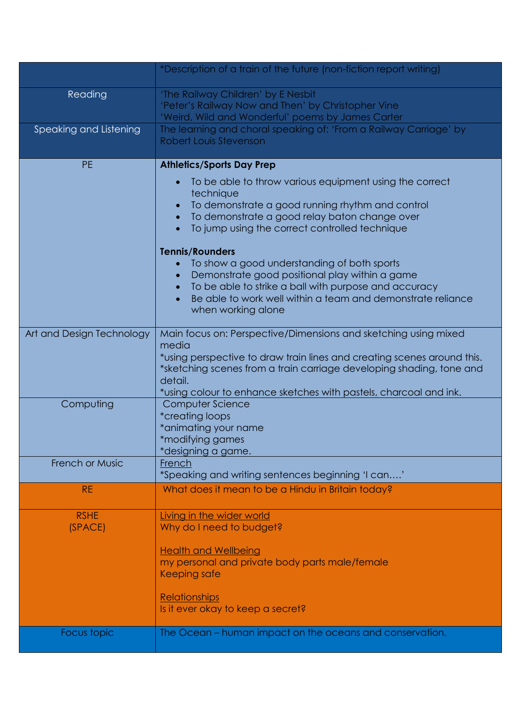|                           | *Description of a train of the future (non-fiction report writing)                                      |  |
|---------------------------|---------------------------------------------------------------------------------------------------------|--|
| Reading                   | 'The Railway Children' by E Nesbit                                                                      |  |
|                           | 'Peter's Railway Now and Then' by Christopher Vine                                                      |  |
|                           | 'Weird, Wild and Wonderful' poems by James Carter                                                       |  |
| Speaking and Listening    | The learning and choral speaking of: 'From a Railway Carriage' by                                       |  |
|                           | Robert Louis Stevenson                                                                                  |  |
| <b>PE</b>                 | <b>Athletics/Sports Day Prep</b>                                                                        |  |
|                           | To be able to throw various equipment using the correct<br>technique                                    |  |
|                           | To demonstrate a good running rhythm and control                                                        |  |
|                           | To demonstrate a good relay baton change over                                                           |  |
|                           | To jump using the correct controlled technique<br>$\bullet$                                             |  |
|                           | <b>Tennis/Rounders</b>                                                                                  |  |
|                           | To show a good understanding of both sports                                                             |  |
|                           | Demonstrate good positional play within a game<br>To be able to strike a ball with purpose and accuracy |  |
|                           | Be able to work well within a team and demonstrate reliance                                             |  |
|                           | when working alone                                                                                      |  |
| Art and Design Technology | Main focus on: Perspective/Dimensions and sketching using mixed<br>media                                |  |
|                           | *using perspective to draw train lines and creating scenes around this.                                 |  |
|                           | *sketching scenes from a train carriage developing shading, tone and                                    |  |
|                           | detail.                                                                                                 |  |
|                           | *using colour to enhance sketches with pastels, charcoal and ink.                                       |  |
| Computing                 | Computer Science                                                                                        |  |
|                           | <i>*creating loops</i><br>*animating your name                                                          |  |
|                           | *modifying games                                                                                        |  |
|                           | *designing a game.                                                                                      |  |
| <b>French or Music</b>    | French                                                                                                  |  |
|                           | *Speaking and writing sentences beginning 'I can'                                                       |  |
| RE.                       | What does it mean to be a Hindu in Britain today?                                                       |  |
| <b>RSHE</b>               | Living in the wider world                                                                               |  |
| (SPACE)                   | Why do I need to budget?                                                                                |  |
|                           | <b>Health and Wellbeing</b>                                                                             |  |
|                           | my personal and private body parts male/female                                                          |  |
|                           | Keeping safe                                                                                            |  |
|                           | <b>Relationships</b>                                                                                    |  |
|                           | Is it ever okay to keep a secret?                                                                       |  |
| Focus topic               | The Ocean – human impact on the oceans and conservation.                                                |  |
|                           |                                                                                                         |  |